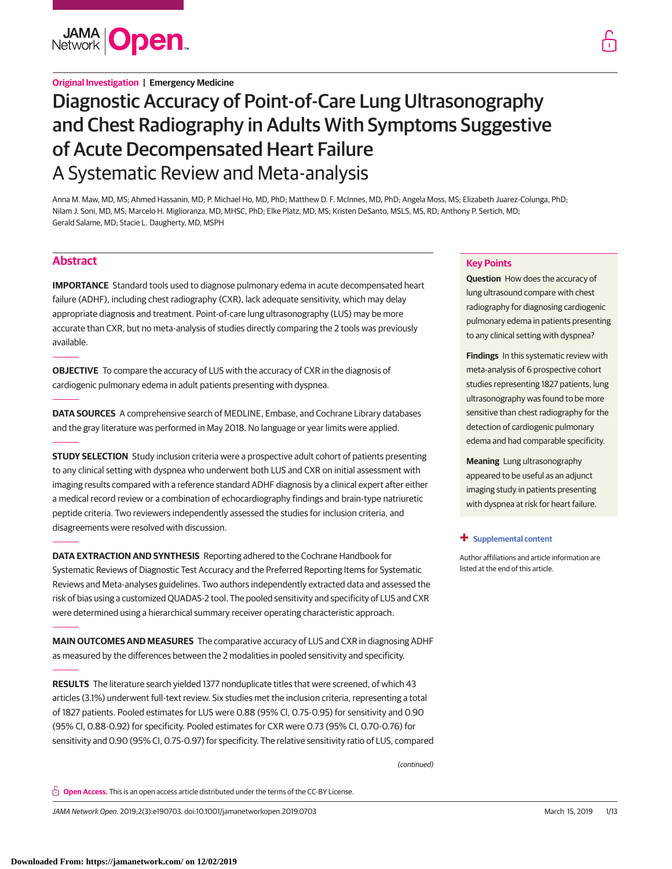

## **Original Investigation | Emergency Medicine**

# Diagnostic Accuracy of Point-of-Care Lung Ultrasonography and Chest Radiography in Adults With Symptoms Suggestive of Acute Decompensated Heart Failure A Systematic Review and Meta-analysis

Anna M. Maw, MD, MS; Ahmed Hassanin, MD; P. Michael Ho, MD, PhD; Matthew D. F. McInnes, MD, PhD; Angela Moss, MS; Elizabeth Juarez-Colunga, PhD; Nilam J. Soni, MD, MS; Marcelo H. Miglioranza, MD, MHSC, PhD; Elke Platz, MD, MS; Kristen DeSanto, MSLS, MS, RD; Anthony P. Sertich, MD; Gerald Salame, MD; Stacie L. Daugherty, MD, MSPH

# **Abstract**

**IMPORTANCE** Standard tools used to diagnose pulmonary edema in acute decompensated heart failure (ADHF), including chest radiography (CXR), lack adequate sensitivity, which may delay appropriate diagnosis and treatment. Point-of-care lung ultrasonography (LUS) may be more accurate than CXR, but no meta-analysis of studies directly comparing the 2 tools was previously available.

**OBJECTIVE** To compare the accuracy of LUS with the accuracy of CXR in the diagnosis of cardiogenic pulmonary edema in adult patients presenting with dyspnea.

**DATA SOURCES** A comprehensive search of MEDLINE, Embase, and Cochrane Library databases and the gray literature was performed in May 2018. No language or year limits were applied.

**STUDY SELECTION** Study inclusion criteria were a prospective adult cohort of patients presenting to any clinical setting with dyspnea who underwent both LUS and CXR on initial assessment with imaging results compared with a reference standard ADHF diagnosis by a clinical expert after either a medical record review or a combination of echocardiography findings and brain-type natriuretic peptide criteria. Two reviewers independently assessed the studies for inclusion criteria, and disagreements were resolved with discussion.

**DATA EXTRACTION AND SYNTHESIS** Reporting adhered to the Cochrane Handbook for Systematic Reviews of Diagnostic Test Accuracy and the Preferred Reporting Items for Systematic Reviews and Meta-analyses guidelines. Two authors independently extracted data and assessed the risk of bias using a customized QUADAS-2 tool. The pooled sensitivity and specificity of LUS and CXR were determined using a hierarchical summary receiver operating characteristic approach.

**MAIN OUTCOMES AND MEASURES** The comparative accuracy of LUS and CXR in diagnosing ADHF as measured by the differences between the 2 modalities in pooled sensitivity and specificity.

**RESULTS** The literature search yielded 1377 nonduplicate titles that were screened, of which 43 articles (3.1%) underwent full-text review. Six studies met the inclusion criteria, representing a total of 1827 patients. Pooled estimates for LUS were 0.88 (95% Cl, 0.75-0.95) for sensitivity and 0.90 (95% Cl, 0.88-0.92) for specificity. Pooled estimates for CXR were 0.73 (95% CI, 0.70-0.76) for sensitivity and 0.90 (95% CI, 0.75-0.97) for specificity. The relative sensitivity ratio of LUS, compared

(continued)

**Open Access.** This is an open access article distributed under the terms of the CC-BY License.

JAMA Network Open. 2019;2(3):e190703. doi:10.1001/jamanetworkopen.2019.0703 (Reprinted) March 15, 2019 1/13



**Question** How does the accuracy of lung ultrasound compare with chest radiography for diagnosing cardiogenic pulmonary edema in patients presenting to any clinical setting with dyspnea?

**Findings** In this systematic review with meta-analysis of 6 prospective cohort studies representing 1827 patients, lung ultrasonography was found to be more sensitive than chest radiography for the detection of cardiogenic pulmonary edema and had comparable specificity.

**Meaning** Lung ultrasonography appeared to be useful as an adjunct imaging study in patients presenting with dyspnea at risk for heart failure.

#### **+ [Supplemental content](https://jama.jamanetwork.com/article.aspx?doi=10.1001/jamanetworkopen.2019.0703&utm_campaign=articlePDF%26utm_medium=articlePDFlink%26utm_source=articlePDF%26utm_content=jamanetworkopen.2019.0703)**

Author affiliations and article information are listed at the end of this article.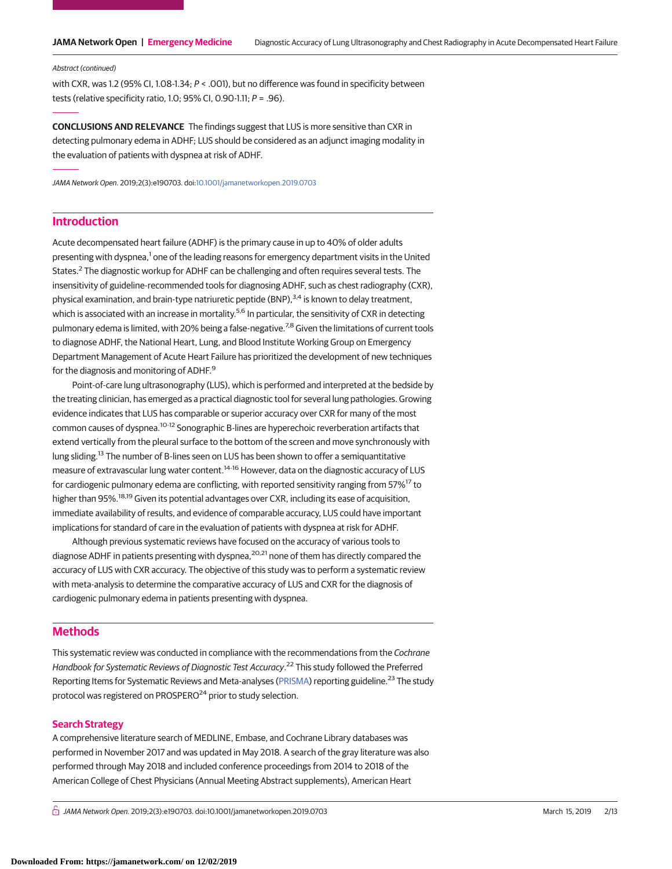#### Abstract (continued)

with CXR, was 1.2 (95% CI, 1.08-1.34;  $P <$  .001), but no difference was found in specificity between tests (relative specificity ratio, 1.0; 95% CI, 0.90-1.11;  $P = .96$ ).

**CONCLUSIONS AND RELEVANCE** The findings suggest that LUS is more sensitive than CXR in detecting pulmonary edema in ADHF; LUS should be considered as an adjunct imaging modality in the evaluation of patients with dyspnea at risk of ADHF.

JAMA Network Open. 2019;2(3):e190703. doi[:10.1001/jamanetworkopen.2019.0703](https://jama.jamanetwork.com/article.aspx?doi=10.1001/jamanetworkopen.2019.0703&utm_campaign=articlePDF%26utm_medium=articlePDFlink%26utm_source=articlePDF%26utm_content=jamanetworkopen.2019.0703)

# **Introduction**

Acute decompensated heart failure (ADHF) is the primary cause in up to 40% of older adults presenting with dyspnea,<sup>1</sup> one of the leading reasons for emergency department visits in the United States.<sup>2</sup> The diagnostic workup for ADHF can be challenging and often requires several tests. The insensitivity of guideline-recommended tools for diagnosing ADHF, such as chest radiography (CXR), physical examination, and brain-type natriuretic peptide (BNP),  $3.4$  is known to delay treatment, which is associated with an increase in mortality.<sup>5,6</sup> In particular, the sensitivity of CXR in detecting pulmonary edema is limited, with 20% being a false-negative.<sup>7,8</sup> Given the limitations of current tools to diagnose ADHF, the National Heart, Lung, and Blood Institute Working Group on Emergency Department Management of Acute Heart Failure has prioritized the development of new techniques for the diagnosis and monitoring of ADHF.<sup>9</sup>

Point-of-care lung ultrasonography (LUS), which is performed and interpreted at the bedside by the treating clinician, has emerged as a practical diagnostic tool for several lung pathologies. Growing evidence indicates that LUS has comparable or superior accuracy over CXR for many of the most common causes of dyspnea.10-12 Sonographic B-lines are hyperechoic reverberation artifacts that extend vertically from the pleural surface to the bottom of the screen and move synchronously with lung sliding.<sup>13</sup> The number of B-lines seen on LUS has been shown to offer a semiquantitative measure of extravascular lung water content.<sup>14-16</sup> However, data on the diagnostic accuracy of LUS for cardiogenic pulmonary edema are conflicting, with reported sensitivity ranging from 57%<sup>17</sup> to higher than 95%.<sup>18,19</sup> Given its potential advantages over CXR, including its ease of acquisition, immediate availability of results, and evidence of comparable accuracy, LUS could have important implications for standard of care in the evaluation of patients with dyspnea at risk for ADHF.

Although previous systematic reviews have focused on the accuracy of various tools to diagnose ADHF in patients presenting with dyspnea,<sup>20,21</sup> none of them has directly compared the accuracy of LUS with CXR accuracy. The objective of this study was to perform a systematic review with meta-analysis to determine the comparative accuracy of LUS and CXR for the diagnosis of cardiogenic pulmonary edema in patients presenting with dyspnea.

## **Methods**

This systematic review was conducted in compliance with the recommendations from the Cochrane Handbook for Systematic Reviews of Diagnostic Test Accuracy.<sup>22</sup> This study followed the Preferred Reporting Items for Systematic Reviews and Meta-analyses [\(PRISMA\)](http://www.equator-network.org/reporting-guidelines/prisma/) reporting guideline.<sup>23</sup> The study protocol was registered on PROSPERO<sup>24</sup> prior to study selection.

## **Search Strategy**

A comprehensive literature search of MEDLINE, Embase, and Cochrane Library databases was performed in November 2017 and was updated in May 2018. A search of the gray literature was also performed through May 2018 and included conference proceedings from 2014 to 2018 of the American College of Chest Physicians (Annual Meeting Abstract supplements), American Heart

 $\stackrel{\frown}{\Pi}$  JAMA Network Open. 2019;2(3):e190703. doi:10.1001/jamanetworkopen.2019.0703 (Reprinted) March 15, 2019 2/13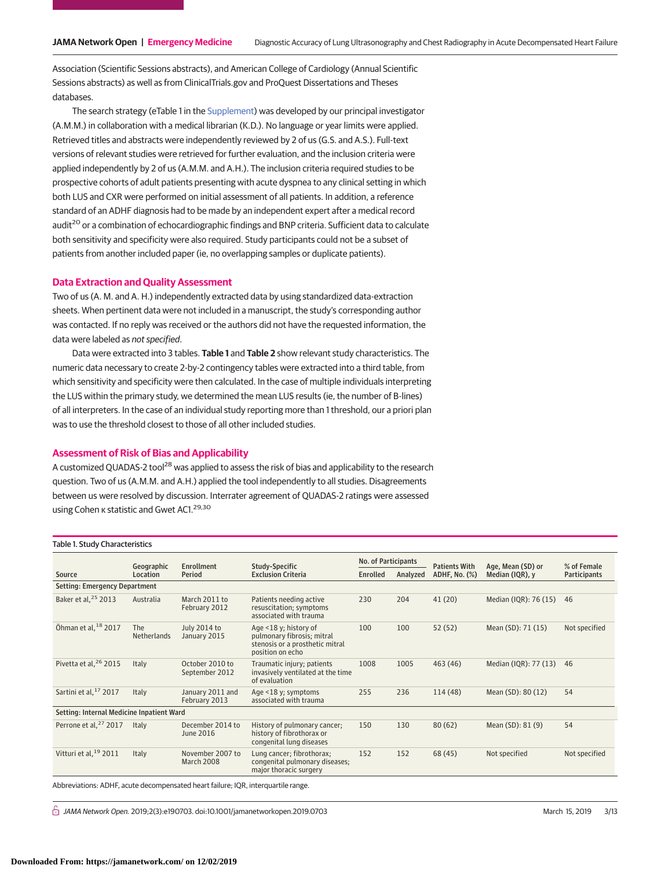Association (Scientific Sessions abstracts), and American College of Cardiology (Annual Scientific Sessions abstracts) as well as from ClinicalTrials.gov and ProQuest Dissertations and Theses databases.

The search strategy (eTable 1 in the [Supplement\)](https://jama.jamanetwork.com/article.aspx?doi=10.1001/jamanetworkopen.2019.0703&utm_campaign=articlePDF%26utm_medium=articlePDFlink%26utm_source=articlePDF%26utm_content=jamanetworkopen.2019.0703) was developed by our principal investigator (A.M.M.) in collaboration with a medical librarian (K.D.). No language or year limits were applied. Retrieved titles and abstracts were independently reviewed by 2 of us (G.S. and A.S.). Full-text versions of relevant studies were retrieved for further evaluation, and the inclusion criteria were applied independently by 2 of us (A.M.M. and A.H.). The inclusion criteria required studies to be prospective cohorts of adult patients presenting with acute dyspnea to any clinical setting in which both LUS and CXR were performed on initial assessment of all patients. In addition, a reference standard of an ADHF diagnosis had to be made by an independent expert after a medical record audit<sup>20</sup> or a combination of echocardiographic findings and BNP criteria. Sufficient data to calculate both sensitivity and specificity were also required. Study participants could not be a subset of patients from another included paper (ie, no overlapping samples or duplicate patients).

#### **Data Extraction and Quality Assessment**

Two of us (A. M. and A. H.) independently extracted data by using standardized data-extraction sheets. When pertinent data were not included in a manuscript, the study's corresponding author was contacted. If no reply was received or the authors did not have the requested information, the data were labeled as not specified.

Data were extracted into 3 tables. **Table 1** and **Table 2** show relevant study characteristics. The numeric data necessary to create 2-by-2 contingency tables were extracted into a third table, from which sensitivity and specificity were then calculated. In the case of multiple individuals interpreting the LUS within the primary study, we determined the mean LUS results (ie, the number of B-lines) of all interpreters. In the case of an individual study reporting more than 1 threshold, our a priori plan was to use the threshold closest to those of all other included studies.

## **Assessment of Risk of Bias and Applicability**

A customized QUADAS-2 tool<sup>28</sup> was applied to assess the risk of bias and applicability to the research question. Two of us (A.M.M. and A.H.) applied the tool independently to all studies. Disagreements between us were resolved by discussion. Interrater agreement of QUADAS-2 ratings were assessed using Cohen κ statistic and Gwet AC1.<sup>29,30</sup>

| Table 1. Study Characteristics            |                                            |                                       |                                                                                                            |                     |          |                      |                       |                     |  |  |
|-------------------------------------------|--------------------------------------------|---------------------------------------|------------------------------------------------------------------------------------------------------------|---------------------|----------|----------------------|-----------------------|---------------------|--|--|
|                                           | Enrollment<br>Study-Specific<br>Geographic |                                       |                                                                                                            | No. of Participants |          | <b>Patients With</b> | Age, Mean (SD) or     | % of Female         |  |  |
| Source                                    | Location                                   | Period                                | <b>Exclusion Criteria</b>                                                                                  | <b>Enrolled</b>     | Analyzed | ADHF, No. (%)        | Median (IQR), y       | <b>Participants</b> |  |  |
| Setting: Emergency Department             |                                            |                                       |                                                                                                            |                     |          |                      |                       |                     |  |  |
| Baker et al, <sup>25</sup> 2013           | Australia                                  | March 2011 to<br>February 2012        | Patients needing active<br>resuscitation; symptoms<br>associated with trauma                               | 230                 | 204      | 41(20)               | Median (IQR): 76 (15) | 46                  |  |  |
| Öhman et al, 18 2017                      | The<br><b>Netherlands</b>                  | July 2014 to<br>January 2015          | Age <18 y; history of<br>pulmonary fibrosis; mitral<br>stenosis or a prosthetic mitral<br>position on echo | 100                 | 100      | 52(52)               | Mean (SD): 71 (15)    | Not specified       |  |  |
| Pivetta et al, <sup>26</sup> 2015         | Italy                                      | October 2010 to<br>September 2012     | Traumatic injury; patients<br>invasively ventilated at the time<br>of evaluation                           | 1008                | 1005     | 463 (46)             | Median (IQR): 77 (13) | 46                  |  |  |
| Sartini et al, 17 2017                    | Italy                                      | January 2011 and<br>February 2013     | Age <18 y; symptoms<br>associated with trauma                                                              | 255                 | 236      | 114(48)              | Mean (SD): 80 (12)    | 54                  |  |  |
| Setting: Internal Medicine Inpatient Ward |                                            |                                       |                                                                                                            |                     |          |                      |                       |                     |  |  |
| Perrone et al, <sup>27</sup> 2017         | Italy                                      | December 2014 to<br>June 2016         | History of pulmonary cancer;<br>history of fibrothorax or<br>congenital lung diseases                      | 150                 | 130      | 80(62)               | Mean (SD): 81 (9)     | 54                  |  |  |
| Vitturi et al, <sup>19</sup> 2011         | Italy                                      | November 2007 to<br><b>March 2008</b> | Lung cancer; fibrothorax;<br>congenital pulmonary diseases;<br>major thoracic surgery                      | 152                 | 152      | 68 (45)              | Not specified         | Not specified       |  |  |

Abbreviations: ADHF, acute decompensated heart failure; IQR, interquartile range.

 $\stackrel{\frown}{\Pi}$  JAMA Network Open. 2019;2(3):e190703. doi:10.1001/jamanetworkopen.2019.0703 (Reprinted) March 15, 2019 3/13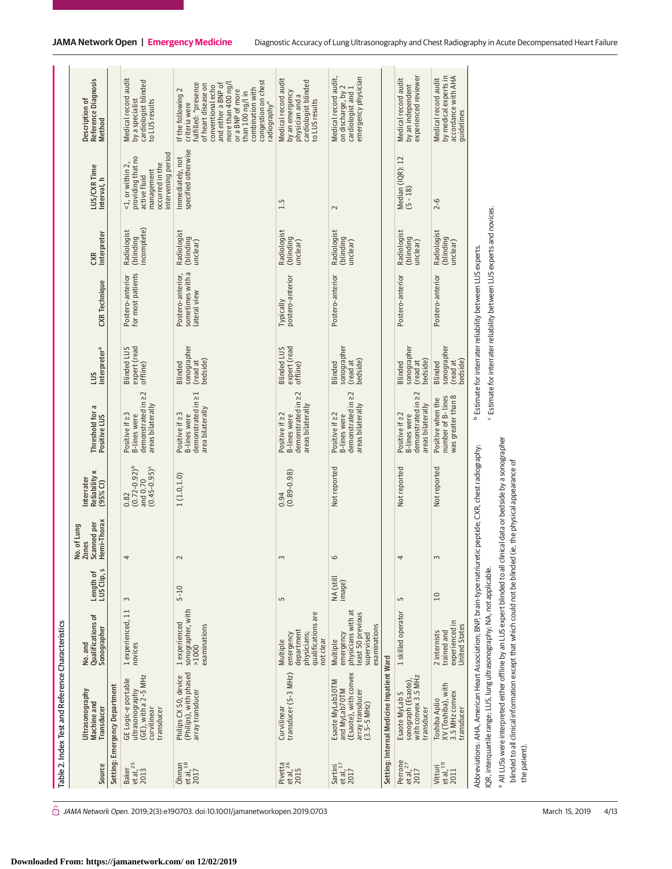|                                                        | Table 2. Index Test and Reference Characteristics                                                                                                                                                                                                                                                                |                                                                                                |                          |                                                     |                                                              |                                                                                        |                                                |                                                                                                                                                            |                                         |                                                                                                              |                                                                                                                                                                                                                                                        |
|--------------------------------------------------------|------------------------------------------------------------------------------------------------------------------------------------------------------------------------------------------------------------------------------------------------------------------------------------------------------------------|------------------------------------------------------------------------------------------------|--------------------------|-----------------------------------------------------|--------------------------------------------------------------|----------------------------------------------------------------------------------------|------------------------------------------------|------------------------------------------------------------------------------------------------------------------------------------------------------------|-----------------------------------------|--------------------------------------------------------------------------------------------------------------|--------------------------------------------------------------------------------------------------------------------------------------------------------------------------------------------------------------------------------------------------------|
| Source                                                 | Ultrasonography<br>Machine and<br>Transducer                                                                                                                                                                                                                                                                     | <b>Qualifications of</b><br>Sonographer<br>No. and                                             | LUS Clip, s<br>Length of | Hemi-Thorax<br>Scanned per<br>. of Lung<br>No. of I | Reliability <b>K</b><br>Interrater<br>$(95%$ CI)             | Threshold for a<br>Positive LUS                                                        | Interpreter <sup>a</sup><br>SUI                | <b>CXR</b> Technique                                                                                                                                       | Interpreter<br>CXR                      | LUS/CXR Time<br>Interval, h                                                                                  | Reference Diagnosis<br>Description of<br>Method                                                                                                                                                                                                        |
|                                                        | Setting: Emergency Department                                                                                                                                                                                                                                                                                    |                                                                                                |                          |                                                     |                                                              |                                                                                        |                                                |                                                                                                                                                            |                                         |                                                                                                              |                                                                                                                                                                                                                                                        |
| Baker<br>et al, <sup>25</sup><br>2013                  | $(GE)$ , with a 2-5 MHz<br>GE Logic-e portable<br>ultrasonography<br>curvilinear<br>transducer                                                                                                                                                                                                                   | 1 experienced, 11<br>novices                                                                   | $\sim$                   | 4                                                   | $(0.72 - 0.92)^{b}$<br>$(0.45 - 0.95)^c$<br>and 0.70<br>0.82 | demonstrated in 22<br>areas bilaterally<br>Positive if 23<br><b>B-lines</b> were       | expert (read<br><b>Blinded LUS</b><br>offline) | for most patients<br>Postero-anterior                                                                                                                      | incomplete)<br>Radiologist<br>(blinding | intervening period<br>providing that no<br><1, or within 2,<br>occurred in the<br>management<br>active fluid | Medical record audit<br>cardiologist blinded<br>by a specialist<br>to LUS results                                                                                                                                                                      |
| $\ddot{\text{O}}$ hman<br>et al, <sup>18</sup><br>2017 | (Philips), with phased<br>Philips CX 50, device<br>array transducer                                                                                                                                                                                                                                              | sonographer, with<br>>1000<br>1 experienced<br>examinations                                    | $5 - 10$                 | $\sim$                                              | 1(1.0, 1.0)                                                  | 그<br>demonstrated in<br>area bilaterally<br>Positive if 23<br><b>B-lines</b> were      | sonographer<br>bedside)<br>(read at<br>Blinded | sometimes with a<br>Postero-anterior,<br>lateral view                                                                                                      | Radiologist<br>(blinding<br>unclear)    | specified otherwise<br>Immediately, not                                                                      | congestion on chest<br>fulfilled: "presence<br>and either a BNP of<br>more than 400 ng/l<br>of heart disease on<br>conventional echo<br>combination with<br>If the following 2<br>or a BNP of more<br>than 100 ng/lin<br>radiography"<br>criteria were |
| Pivetta<br>et al, <sup>26</sup><br>2015                | transducer (5-3 MHz)<br>Curvilinear                                                                                                                                                                                                                                                                              | are<br>qualifications<br>department<br>emergency<br>physicians;<br>not clear<br>Multiple       | 5                        | 3                                                   | $(0.89 - 0.98)$<br>0.94                                      | demonstrated in 22<br>areas bilaterally<br>Positive if $\geq$ 2<br><b>B-lines</b> were | expert (read<br><b>Blinded LUS</b><br>offline) | postero-anterior<br>Typically                                                                                                                              | Radiologist<br>(blinding<br>unclear)    | 1.5                                                                                                          | Medical record audit<br>cardiologist blinded<br>by an emergency<br>physician and a<br>to LUS results                                                                                                                                                   |
| Sartini<br>et al, <sup>17</sup><br>2017                | (Esaote), with convex<br>Esaote MyLab30TM<br>and MyLab70TM<br>array transducer<br>(3.5-5 MHz)                                                                                                                                                                                                                    | physicians with at<br>least 50 previous<br>examinations<br>emergency<br>supervised<br>Multiple | NA (still<br>image)      | 6                                                   | Not reported                                                 | demonstrated in 22<br>areas bilaterally<br>Positive if $\geq$ 2<br><b>B-lines</b> were | sonographer<br>bedside)<br>(read at<br>Blinded | Postero-anterior                                                                                                                                           | Radiologist<br>(blinding<br>unclear)    | $\sim$                                                                                                       | Medical record audit,<br>emergency physician<br>on discharge, by 2<br>cardiologist and 1                                                                                                                                                               |
|                                                        | Setting: Internal Medicine Inpatient Ward                                                                                                                                                                                                                                                                        |                                                                                                |                          |                                                     |                                                              |                                                                                        |                                                |                                                                                                                                                            |                                         |                                                                                                              |                                                                                                                                                                                                                                                        |
| Perrone<br>et al, <sup>27</sup><br>2017                | with convex 3.5 MHz<br>sonograph (Esaote)<br>Esaote MyLab 5<br>transducer                                                                                                                                                                                                                                        | 1 skilled operator                                                                             | 5                        | 4                                                   | Not reported                                                 | demonstrated in 22<br>areas bilaterally<br>Positive if $\geq$ 2<br><b>B-lines</b> were | sonographer<br>bedside)<br>(read at<br>Blinded | Postero-anterior                                                                                                                                           | Radiologist<br>(blinding<br>unclear)    | Median (IQR): 12<br>$(5 - 18)$                                                                               | experienced reviewer<br>Medical record audit<br>by an independent                                                                                                                                                                                      |
| et al, <sup>19</sup><br>Vitturi<br>2011                | XV (Toshiba), with<br>3.5 MHz convex<br>Toshiba Aplio<br>transducer                                                                                                                                                                                                                                              | experienced in<br><b>United States</b><br>2 internists<br>trained and                          | 10                       | 3                                                   | Not reported                                                 | was greater than 8<br>number of B- lines<br>Positive when the                          | sonographer<br>bedside)<br>(read at<br>Blinded | Postero-anterior                                                                                                                                           | Radiologist<br>(blinding<br>unclear)    | $2 - 6$                                                                                                      | accordance with AHA<br>by medical experts in<br>Medical record audit<br>guidelines                                                                                                                                                                     |
|                                                        | a All LUSs were interpreted either offline by an LUS expert blinded to all clinical data or bedside by a sonographer<br>Abbreviations: AHA, American Heart Association: BNP, brain-type natriuretic peptide: CXR, chest radiography;<br>IQR, interquartile range; LUS, lung ultrasonography; NA, not applicable. |                                                                                                |                          |                                                     |                                                              |                                                                                        |                                                | <sup>c</sup> Estimate for interrater reliability between LUS experts and novices.<br><sup>b</sup> Estimate for interrater reliability between LUS experts. |                                         |                                                                                                              |                                                                                                                                                                                                                                                        |

 $\hat{\Box}$  JAMA Network Open. 2019;2(3):e190703. doi:10.1001/jamanetworkopen.2019.0703 (Reprinted) March 15, 2019 4/13

the patient).

the patient).

 All LUSs were interpreted either offline by an LUS expert blinded to all clinical data or bedside by a sonographer blinded to all clinical information except that which could not be blinded (ie, the physical appearance of

blinded to all clinical information except that which could not be blinded (ie, the physical appearance of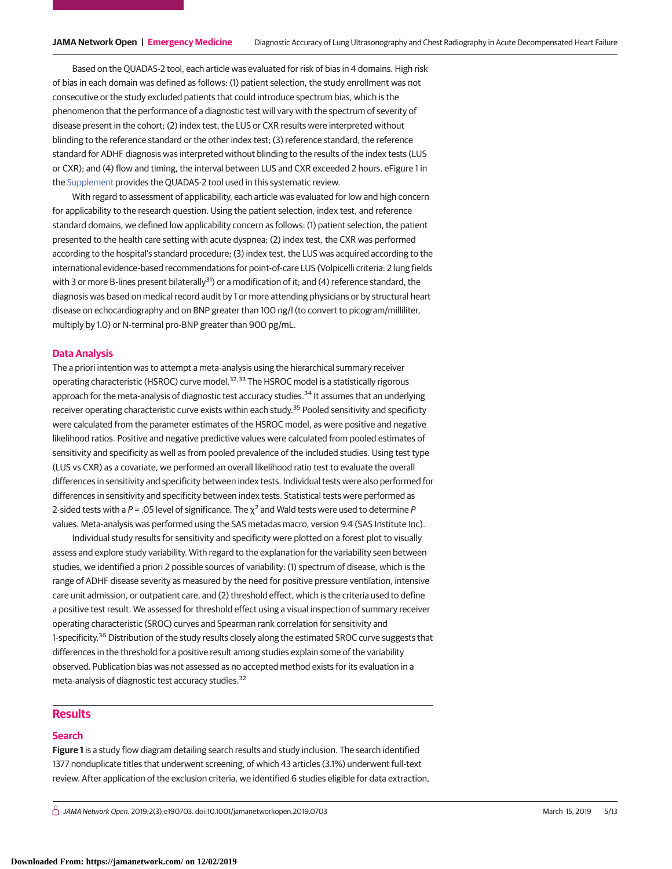Based on the QUADAS-2 tool, each article was evaluated for risk of bias in 4 domains. High risk of bias in each domain was defined as follows: (1) patient selection, the study enrollment was not consecutive or the study excluded patients that could introduce spectrum bias, which is the phenomenon that the performance of a diagnostic test will vary with the spectrum of severity of disease present in the cohort; (2) index test, the LUS or CXR results were interpreted without blinding to the reference standard or the other index test; (3) reference standard, the reference standard for ADHF diagnosis was interpreted without blinding to the results of the index tests (LUS or CXR); and (4) flow and timing, the interval between LUS and CXR exceeded 2 hours. eFigure 1 in the [Supplement](https://jama.jamanetwork.com/article.aspx?doi=10.1001/jamanetworkopen.2019.0703&utm_campaign=articlePDF%26utm_medium=articlePDFlink%26utm_source=articlePDF%26utm_content=jamanetworkopen.2019.0703) provides the QUADAS-2 tool used in this systematic review.

With regard to assessment of applicability, each article was evaluated for low and high concern for applicability to the research question. Using the patient selection, index test, and reference standard domains, we defined low applicability concern as follows: (1) patient selection, the patient presented to the health care setting with acute dyspnea; (2) index test, the CXR was performed according to the hospital's standard procedure; (3) index test, the LUS was acquired according to the international evidence-based recommendations for point-of-care LUS (Volpicelli criteria: 2 lung fields with 3 or more B-lines present bilaterally<sup>31</sup>) or a modification of it; and (4) reference standard, the diagnosis was based on medical record audit by 1 or more attending physicians or by structural heart disease on echocardiography and on BNP greater than 100 ng/l (to convert to picogram/milliliter, multiply by 1.0) or N-terminal pro-BNP greater than 900 pg/mL.

### **Data Analysis**

The a priori intention was to attempt a meta-analysis using the hierarchical summary receiver operating characteristic (HSROC) curve model.<sup>32,33</sup> The HSROC model is a statistically rigorous approach for the meta-analysis of diagnostic test accuracy studies.<sup>34</sup> It assumes that an underlying receiver operating characteristic curve exists within each study.<sup>35</sup> Pooled sensitivity and specificity were calculated from the parameter estimates of the HSROC model, as were positive and negative likelihood ratios. Positive and negative predictive values were calculated from pooled estimates of sensitivity and specificity as well as from pooled prevalence of the included studies. Using test type (LUS vs CXR) as a covariate, we performed an overall likelihood ratio test to evaluate the overall differences in sensitivity and specificity between index tests. Individual tests were also performed for differences in sensitivity and specificity between index tests. Statistical tests were performed as 2-sided tests with a P = .05 level of significance. The  $\chi^2$  and Wald tests were used to determine P values. Meta-analysis was performed using the SAS metadas macro, version 9.4 (SAS Institute Inc).

Individual study results for sensitivity and specificity were plotted on a forest plot to visually assess and explore study variability. With regard to the explanation for the variability seen between studies, we identified a priori 2 possible sources of variability: (1) spectrum of disease, which is the range of ADHF disease severity as measured by the need for positive pressure ventilation, intensive care unit admission, or outpatient care, and (2) threshold effect, which is the criteria used to define a positive test result. We assessed for threshold effect using a visual inspection of summary receiver operating characteristic (SROC) curves and Spearman rank correlation for sensitivity and 1-specificity.<sup>36</sup> Distribution of the study results closely along the estimated SROC curve suggests that differences in the threshold for a positive result among studies explain some of the variability observed. Publication bias was not assessed as no accepted method exists for its evaluation in a meta-analysis of diagnostic test accuracy studies.<sup>32</sup>

## **Results**

#### **Search**

**Figure 1** is a study flow diagram detailing search results and study inclusion. The search identified 1377 nonduplicate titles that underwent screening, of which 43 articles (3.1%) underwent full-text review. After application of the exclusion criteria, we identified 6 studies eligible for data extraction,

 $\bigcap$  JAMA Network Open. 2019;2(3):e190703. doi:10.1001/jamanetworkopen.2019.0703 (Reprinted) March 15, 2019 5/13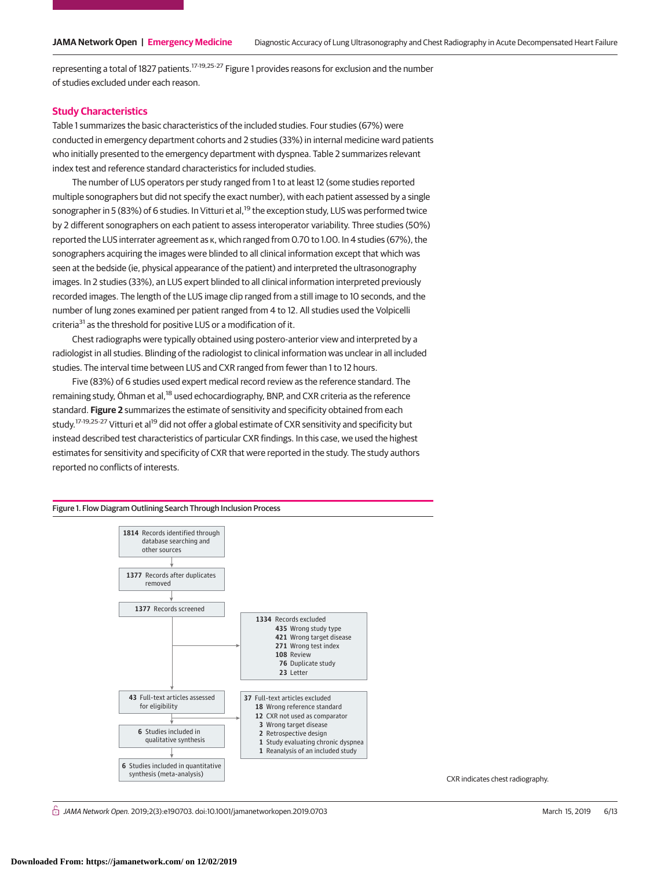representing a total of 1827 patients.17-19,25-27 Figure 1 provides reasons for exclusion and the number of studies excluded under each reason.

### **Study Characteristics**

Table 1 summarizes the basic characteristics of the included studies. Four studies (67%) were conducted in emergency department cohorts and 2 studies (33%) in internal medicine ward patients who initially presented to the emergency department with dyspnea. Table 2 summarizes relevant index test and reference standard characteristics for included studies.

The number of LUS operators per study ranged from 1 to at least 12 (some studies reported multiple sonographers but did not specify the exact number), with each patient assessed by a single sonographer in 5 (83%) of 6 studies. In Vitturi et al,<sup>19</sup> the exception study, LUS was performed twice by 2 different sonographers on each patient to assess interoperator variability. Three studies (50%) reported the LUS interrater agreement as κ, which ranged from 0.70 to 1.00. In 4 studies (67%), the sonographers acquiring the images were blinded to all clinical information except that which was seen at the bedside (ie, physical appearance of the patient) and interpreted the ultrasonography images. In 2 studies (33%), an LUS expert blinded to all clinical information interpreted previously recorded images. The length of the LUS image clip ranged from a still image to 10 seconds, and the number of lung zones examined per patient ranged from 4 to 12. All studies used the Volpicelli criteria<sup>31</sup> as the threshold for positive LUS or a modification of it.

Chest radiographs were typically obtained using postero-anterior view and interpreted by a radiologist in all studies. Blinding of the radiologist to clinical information was unclear in all included studies. The interval time between LUS and CXR ranged from fewer than 1 to 12 hours.

Five (83%) of 6 studies used expert medical record review as the reference standard. The remaining study, Öhman et al,<sup>18</sup> used echocardiography, BNP, and CXR criteria as the reference standard. **Figure 2** summarizes the estimate of sensitivity and specificity obtained from each study.<sup>17-19,25-27</sup> Vitturi et al<sup>19</sup> did not offer a global estimate of CXR sensitivity and specificity but instead described test characteristics of particular CXR findings. In this case, we used the highest estimates for sensitivity and specificity of CXR that were reported in the study. The study authors reported no conflicts of interests.



 $\stackrel{\curvearrowright}{\cap}$  JAMA Network Open. 2019;2(3):e190703. doi:10.1001/jamanetworkopen.2019.0703 (Reprinted) March 15, 2019 6/13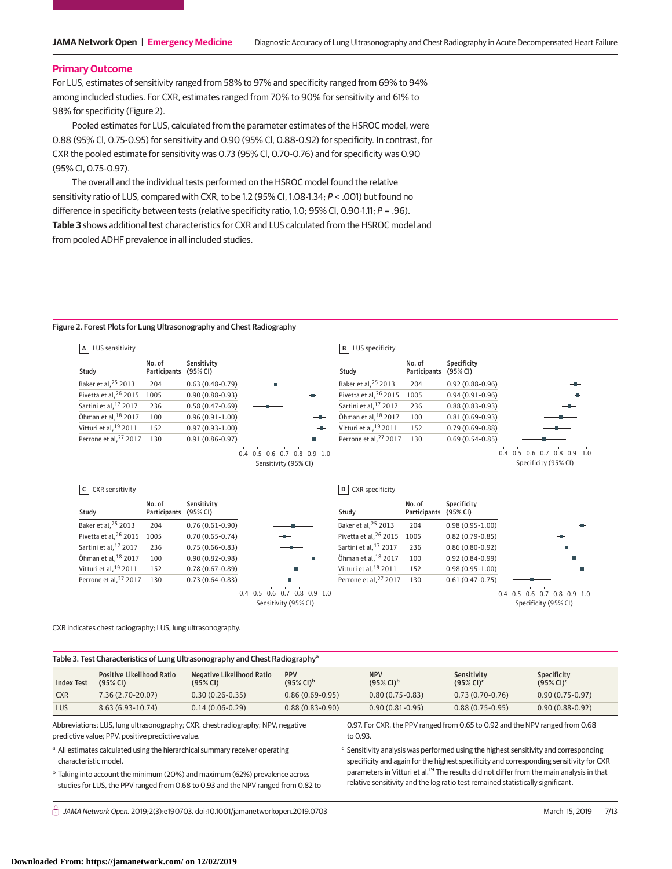#### **Primary Outcome**

For LUS, estimates of sensitivity ranged from 58% to 97% and specificity ranged from 69% to 94% among included studies. For CXR, estimates ranged from 70% to 90% for sensitivity and 61% to 98% for specificity (Figure 2).

Pooled estimates for LUS, calculated from the parameter estimates of the HSROC model, were 0.88 (95% Cl, 0.75-0.95) for sensitivity and 0.90 (95% Cl, 0.88-0.92) for specificity. In contrast, for CXR the pooled estimate for sensitivity was 0.73 (95% Cl, 0.70-0.76) and for specificity was 0.90 (95% Cl, 0.75-0.97).

The overall and the individual tests performed on the HSROC model found the relative sensitivity ratio of LUS, compared with CXR, to be 1.2 (95% CI, 1.08-1.34; P < .001) but found no difference in specificity between tests (relative specificity ratio, 1.0; 95% CI, 0.90-1.11;  $P = .96$ ).

**Table 3** shows additional test characteristics for CXR and LUS calculated from the HSROC model and from pooled ADHF prevalence in all included studies.

#### Figure 2. Forest Plots for Lung Ultrasonography and Chest Radiography

| LUS sensitivity<br>А                   |                               |                         |                                                       | LUS specificity<br>$\mathbf{B}$      |                               |                         |                                                          |
|----------------------------------------|-------------------------------|-------------------------|-------------------------------------------------------|--------------------------------------|-------------------------------|-------------------------|----------------------------------------------------------|
| Study                                  | No. of<br>Participants        | Sensitivity<br>(95% CI) |                                                       | Study                                | No. of<br><b>Participants</b> | Specificity<br>(95% CI) |                                                          |
| Baker et al, 25 2013                   | 204                           | $0.63(0.48-0.79)$       |                                                       | Baker et al. <sup>25</sup> 2013      | 204                           | $0.92(0.88-0.96)$       |                                                          |
| Pivetta et al, 26 2015                 | 1005                          | $0.90(0.88 - 0.93)$     |                                                       | Pivetta et al, 26 2015               | 1005                          | $0.94(0.91-0.96)$       |                                                          |
| Sartini et al, 17 2017                 | 236                           | $0.58(0.47-0.69)$       |                                                       | Sartini et al, 17 2017               | 236                           | $0.88(0.83 - 0.93)$     |                                                          |
| Öhman et al, 18 2017                   | 100                           | $0.96(0.91-1.00)$       | --                                                    | Öhman et al, 18 2017                 | 100                           | $0.81(0.69 - 0.93)$     |                                                          |
| Vitturi et al. <sup>19</sup> 2011      | 152                           | $0.97(0.93 - 1.00)$     |                                                       | Vitturi et al. <sup>19</sup> 2011    | 152                           | $0.79(0.69 - 0.88)$     |                                                          |
| Perrone et al, <sup>27</sup> 2017      | 130                           | $0.91(0.86 - 0.97)$     | --                                                    | Perrone et al, <sup>27</sup> 2017    | 130                           | $0.69(0.54-0.85)$       |                                                          |
| <b>CXR</b> sensitivity<br>$\mathsf{C}$ |                               |                         | $0.4$ 0.5 0.6 0.7 0.8 0.9 1.0<br>Sensitivity (95% CI) |                                      |                               |                         | $0.5$ 0.6 0.7 0.8 0.9 1.0<br>0.4<br>Specificity (95% CI) |
|                                        |                               |                         |                                                       |                                      |                               |                         |                                                          |
| Study                                  | No. of<br><b>Participants</b> | Sensitivity<br>(95% CI) |                                                       | <b>CXR</b> specificity<br>D<br>Study | No. of<br><b>Participants</b> | Specificity<br>(95% CI) |                                                          |
| Baker et al, 25 2013                   | 204                           | $0.76(0.61-0.90)$       |                                                       | Baker et al, 25 2013                 | 204                           | $0.98(0.95 - 1.00)$     |                                                          |
| Pivetta et al, <sup>26</sup> 2015      | 1005                          | $0.70(0.65 - 0.74)$     |                                                       | Pivetta et al, 26 2015               | 1005                          | $0.82(0.79-0.85)$       |                                                          |
| Sartini et al, 17 2017                 | 236                           | $0.75(0.66 - 0.83)$     |                                                       | Sartini et al. <sup>17</sup> 2017    | 236                           | $0.86(0.80-0.92)$       |                                                          |
| Öhman et al, 18 2017                   | 100                           | $0.90(0.82 - 0.98)$     |                                                       | Öhman et al, 18 2017                 | 100                           | $0.92(0.84-0.99)$       |                                                          |
| Vitturi et al, <sup>19</sup> 2011      | 152                           | $0.78(0.67 - 0.89)$     |                                                       | Vitturi et al, <sup>19</sup> 2011    | 152                           | $0.98(0.95 - 1.00)$     |                                                          |
| Perrone et al, <sup>27</sup> 2017      | 130                           | $0.73(0.64 - 0.83)$     |                                                       | Perrone et al, <sup>27</sup> 2017    | 130                           | $0.61(0.47-0.75)$       |                                                          |

CXR indicates chest radiography; LUS, lung ultrasonography.

Table 3. Test Characteristics of Lung Ultrasonography and Chest Radiography<sup>®</sup>

| <b>Index Test</b> | <b>Positive Likelihood Ratio</b><br>(95% CI) | Negative Likelihood Ratio<br>(95% CI) | <b>PPV</b><br>$(95\%$ CI) <sup>b</sup> | <b>NPV</b><br>$(95\%$ CI) <sup>b</sup> | Sensitivity<br>$(95\%$ CI) <sup>c</sup> | <b>Specificity</b><br>$(95\%$ CI) <sup>c</sup> |
|-------------------|----------------------------------------------|---------------------------------------|----------------------------------------|----------------------------------------|-----------------------------------------|------------------------------------------------|
| <b>CXR</b>        | 7.36 (2.70-20.07)                            | $0.30(0.26-0.35)$                     | $0.86(0.69-0.95)$                      | $0.80(0.75-0.83)$                      | $0.73(0.70-0.76)$                       | $0.90(0.75-0.97)$                              |
| LUS               | $8.63(6.93-10.74)$                           | $0.14(0.06-0.29)$                     | $0.88(0.83 - 0.90)$                    | $0.90(0.81 - 0.95)$                    | $0.88(0.75-0.95)$                       | $0.90(0.88-0.92)$                              |

Abbreviations: LUS, lung ultrasonography; CXR, chest radiography; NPV, negative predictive value; PPV, positive predictive value.

a All estimates calculated using the hierarchical summary receiver operating characteristic model.

<sup>b</sup> Taking into account the minimum (20%) and maximum (62%) prevalence across studies for LUS, the PPV ranged from 0.68 to 0.93 and the NPV ranged from 0.82 to 0.97. For CXR, the PPV ranged from 0.65 to 0.92 and the NPV ranged from 0.68 to 0.93.

<sup>c</sup> Sensitivity analysis was performed using the highest sensitivity and corresponding specificity and again for the highest specificity and corresponding sensitivity for CXR parameters in Vitturi et al.<sup>19</sup> The results did not differ from the main analysis in that relative sensitivity and the log ratio test remained statistically significant.

 $\stackrel{\frown}{\Pi}$  JAMA Network Open. 2019;2(3):e190703. doi:10.1001/jamanetworkopen.2019.0703 (Reprinted) March 15, 2019 7/13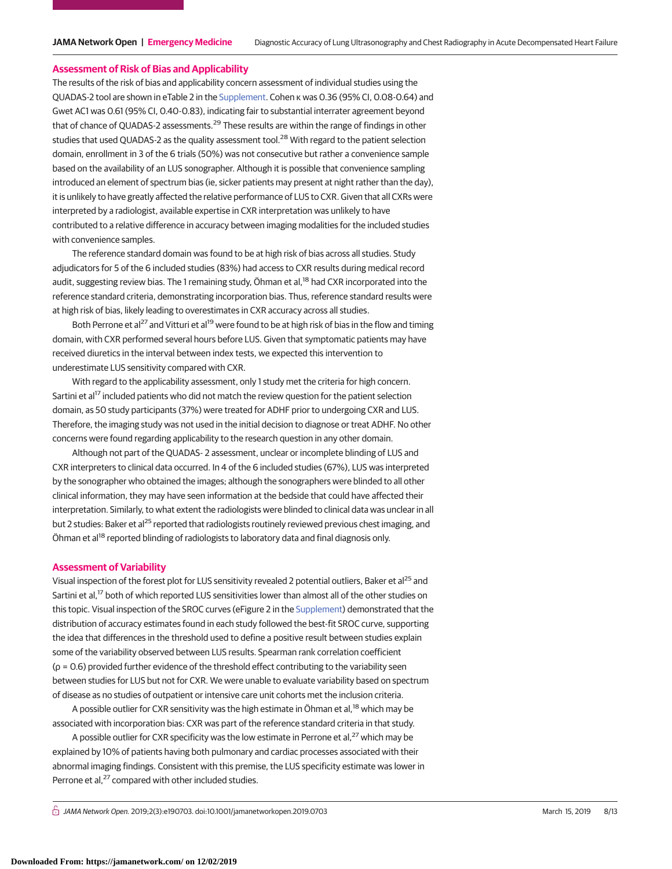#### **Assessment of Risk of Bias and Applicability**

The results of the risk of bias and applicability concern assessment of individual studies using the QUADAS-2 tool are shown in eTable 2 in the [Supplement.](https://jama.jamanetwork.com/article.aspx?doi=10.1001/jamanetworkopen.2019.0703&utm_campaign=articlePDF%26utm_medium=articlePDFlink%26utm_source=articlePDF%26utm_content=jamanetworkopen.2019.0703) Cohen κ was 0.36 (95% CI, 0.08-0.64) and Gwet AC1 was 0.61 (95% CI, 0.40-0.83), indicating fair to substantial interrater agreement beyond that of chance of QUADAS-2 assessments.<sup>29</sup> These results are within the range of findings in other studies that used QUADAS-2 as the quality assessment tool.<sup>28</sup> With regard to the patient selection domain, enrollment in 3 of the 6 trials (50%) was not consecutive but rather a convenience sample based on the availability of an LUS sonographer. Although it is possible that convenience sampling introduced an element of spectrum bias (ie, sicker patients may present at night rather than the day), it is unlikely to have greatly affected the relative performance of LUS to CXR. Given that all CXRs were interpreted by a radiologist, available expertise in CXR interpretation was unlikely to have contributed to a relative difference in accuracy between imaging modalities for the included studies with convenience samples.

The reference standard domain was found to be at high risk of bias across all studies. Study adjudicators for 5 of the 6 included studies (83%) had access to CXR results during medical record audit, suggesting review bias. The 1 remaining study, Öhman et al,<sup>18</sup> had CXR incorporated into the reference standard criteria, demonstrating incorporation bias. Thus, reference standard results were at high risk of bias, likely leading to overestimates in CXR accuracy across all studies.

Both Perrone et al<sup>27</sup> and Vitturi et al<sup>19</sup> were found to be at high risk of bias in the flow and timing domain, with CXR performed several hours before LUS. Given that symptomatic patients may have received diuretics in the interval between index tests, we expected this intervention to underestimate LUS sensitivity compared with CXR.

With regard to the applicability assessment, only 1 study met the criteria for high concern. Sartini et al<sup>17</sup> included patients who did not match the review question for the patient selection domain, as 50 study participants (37%) were treated for ADHF prior to undergoing CXR and LUS. Therefore, the imaging study was not used in the initial decision to diagnose or treat ADHF. No other concerns were found regarding applicability to the research question in any other domain.

Although not part of the QUADAS- 2 assessment, unclear or incomplete blinding of LUS and CXR interpreters to clinical data occurred. In 4 of the 6 included studies (67%), LUS was interpreted by the sonographer who obtained the images; although the sonographers were blinded to all other clinical information, they may have seen information at the bedside that could have affected their interpretation. Similarly, to what extent the radiologists were blinded to clinical data was unclear in all but 2 studies: Baker et al<sup>25</sup> reported that radiologists routinely reviewed previous chest imaging, and Öhman et al<sup>18</sup> reported blinding of radiologists to laboratory data and final diagnosis only.

#### **Assessment of Variability**

Visual inspection of the forest plot for LUS sensitivity revealed 2 potential outliers, Baker et al25 and Sartini et al,<sup>17</sup> both of which reported LUS sensitivities lower than almost all of the other studies on this topic. Visual inspection of the SROC curves (eFigure 2 in the [Supplement\)](https://jama.jamanetwork.com/article.aspx?doi=10.1001/jamanetworkopen.2019.0703&utm_campaign=articlePDF%26utm_medium=articlePDFlink%26utm_source=articlePDF%26utm_content=jamanetworkopen.2019.0703) demonstrated that the distribution of accuracy estimates found in each study followed the best-fit SROC curve, supporting the idea that differences in the threshold used to define a positive result between studies explain some of the variability observed between LUS results. Spearman rank correlation coefficient (ρ = 0.6) provided further evidence of the threshold effect contributing to the variability seen between studies for LUS but not for CXR. We were unable to evaluate variability based on spectrum of disease as no studies of outpatient or intensive care unit cohorts met the inclusion criteria.

A possible outlier for CXR sensitivity was the high estimate in Öhman et al,<sup>18</sup> which may be associated with incorporation bias: CXR was part of the reference standard criteria in that study.

A possible outlier for CXR specificity was the low estimate in Perrone et al,<sup>27</sup> which may be explained by 10% of patients having both pulmonary and cardiac processes associated with their abnormal imaging findings. Consistent with this premise, the LUS specificity estimate was lower in Perrone et al,<sup>27</sup> compared with other included studies.

 $\stackrel{\frown}{\Pi}$  JAMA Network Open. 2019;2(3):e190703. doi:10.1001/jamanetworkopen.2019.0703 (Reprinted) March 15, 2019 8/13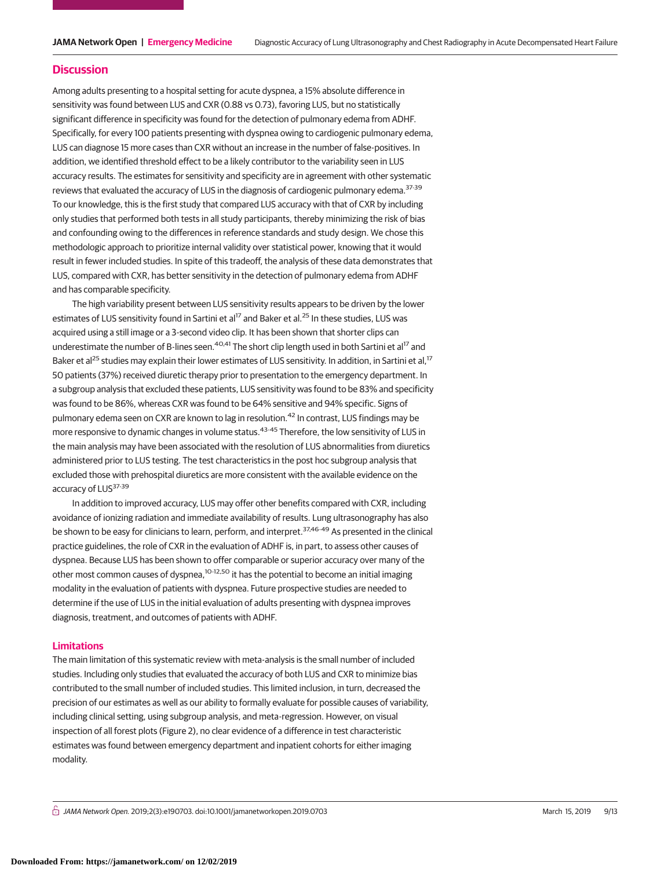#### **Discussion**

Among adults presenting to a hospital setting for acute dyspnea, a 15% absolute difference in sensitivity was found between LUS and CXR (0.88 vs 0.73), favoring LUS, but no statistically significant difference in specificity was found for the detection of pulmonary edema from ADHF. Specifically, for every 100 patients presenting with dyspnea owing to cardiogenic pulmonary edema, LUS can diagnose 15 more cases than CXR without an increase in the number of false-positives. In addition, we identified threshold effect to be a likely contributor to the variability seen in LUS accuracy results. The estimates for sensitivity and specificity are in agreement with other systematic reviews that evaluated the accuracy of LUS in the diagnosis of cardiogenic pulmonary edema.<sup>37-39</sup> To our knowledge, this is the first study that compared LUS accuracy with that of CXR by including only studies that performed both tests in all study participants, thereby minimizing the risk of bias and confounding owing to the differences in reference standards and study design. We chose this methodologic approach to prioritize internal validity over statistical power, knowing that it would result in fewer included studies. In spite of this tradeoff, the analysis of these data demonstrates that LUS, compared with CXR, has better sensitivity in the detection of pulmonary edema from ADHF and has comparable specificity.

The high variability present between LUS sensitivity results appears to be driven by the lower estimates of LUS sensitivity found in Sartini et al<sup>17</sup> and Baker et al.<sup>25</sup> In these studies, LUS was acquired using a still image or a 3-second video clip. It has been shown that shorter clips can underestimate the number of B-lines seen.<sup>40,41</sup> The short clip length used in both Sartini et al<sup>17</sup> and Baker et al<sup>25</sup> studies may explain their lower estimates of LUS sensitivity. In addition, in Sartini et al,<sup>17</sup> 50 patients (37%) received diuretic therapy prior to presentation to the emergency department. In a subgroup analysis that excluded these patients, LUS sensitivity was found to be 83% and specificity was found to be 86%, whereas CXR was found to be 64% sensitive and 94% specific. Signs of pulmonary edema seen on CXR are known to lag in resolution.<sup>42</sup> In contrast, LUS findings may be more responsive to dynamic changes in volume status.<sup>43-45</sup> Therefore, the low sensitivity of LUS in the main analysis may have been associated with the resolution of LUS abnormalities from diuretics administered prior to LUS testing. The test characteristics in the post hoc subgroup analysis that excluded those with prehospital diuretics are more consistent with the available evidence on the accuracy of LUS<sup>37-39</sup>

In addition to improved accuracy, LUS may offer other benefits compared with CXR, including avoidance of ionizing radiation and immediate availability of results. Lung ultrasonography has also be shown to be easy for clinicians to learn, perform, and interpret.<sup>37,46-49</sup> As presented in the clinical practice guidelines, the role of CXR in the evaluation of ADHF is, in part, to assess other causes of dyspnea. Because LUS has been shown to offer comparable or superior accuracy over many of the other most common causes of dyspnea,<sup>10-12,50</sup> it has the potential to become an initial imaging modality in the evaluation of patients with dyspnea. Future prospective studies are needed to determine if the use of LUS in the initial evaluation of adults presenting with dyspnea improves diagnosis, treatment, and outcomes of patients with ADHF.

## **Limitations**

The main limitation of this systematic review with meta-analysis is the small number of included studies. Including only studies that evaluated the accuracy of both LUS and CXR to minimize bias contributed to the small number of included studies. This limited inclusion, in turn, decreased the precision of our estimates as well as our ability to formally evaluate for possible causes of variability, including clinical setting, using subgroup analysis, and meta-regression. However, on visual inspection of all forest plots (Figure 2), no clear evidence of a difference in test characteristic estimates was found between emergency department and inpatient cohorts for either imaging modality.

 $\stackrel{\frown}{\Pi}$  JAMA Network Open. 2019;2(3):e190703. doi:10.1001/jamanetworkopen.2019.0703 (Reprinted) March 15, 2019 9/13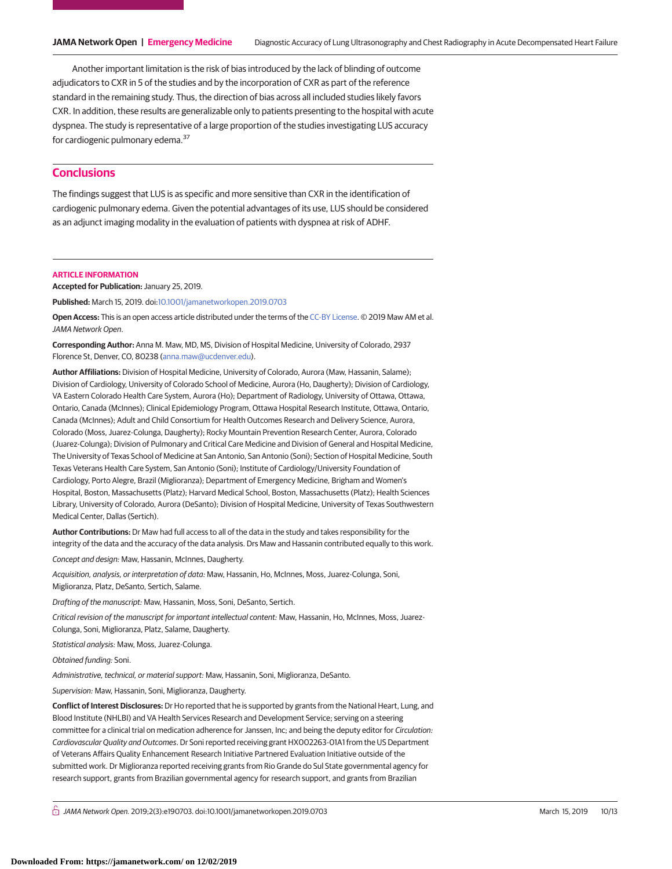Another important limitation is the risk of bias introduced by the lack of blinding of outcome adjudicators to CXR in 5 of the studies and by the incorporation of CXR as part of the reference standard in the remaining study. Thus, the direction of bias across all included studies likely favors CXR. In addition, these results are generalizable only to patients presenting to the hospital with acute dyspnea. The study is representative of a large proportion of the studies investigating LUS accuracy for cardiogenic pulmonary edema.<sup>37</sup>

# **Conclusions**

The findings suggest that LUS is as specific and more sensitive than CXR in the identification of cardiogenic pulmonary edema. Given the potential advantages of its use, LUS should be considered as an adjunct imaging modality in the evaluation of patients with dyspnea at risk of ADHF.

#### **ARTICLE INFORMATION**

**Accepted for Publication:** January 25, 2019.

**Published:** March 15, 2019. doi[:10.1001/jamanetworkopen.2019.0703](https://jama.jamanetwork.com/article.aspx?doi=10.1001/jamanetworkopen.2019.0703&utm_campaign=articlePDF%26utm_medium=articlePDFlink%26utm_source=articlePDF%26utm_content=jamanetworkopen.2019.0703)

**Open Access:** This is an open access article distributed under the terms of the [CC-BY License.](https://jamanetwork.com/journals/jamanetworkopen/pages/instructions-for-authors#SecOpenAccess/?utm_campaign=articlePDF%26utm_medium=articlePDFlink%26utm_source=articlePDF%26utm_content=jamanetworkopen.2019.0703) © 2019 Maw AM et al. JAMA Network Open.

**Corresponding Author:** Anna M. Maw, MD, MS, Division of Hospital Medicine, University of Colorado, 2937 Florence St, Denver, CO, 80238 [\(anna.maw@ucdenver.edu\)](mailto:anna.maw@ucdenver.edu).

**Author Affiliations:** Division of Hospital Medicine, University of Colorado, Aurora (Maw, Hassanin, Salame); Division of Cardiology, University of Colorado School of Medicine, Aurora (Ho, Daugherty); Division of Cardiology, VA Eastern Colorado Health Care System, Aurora (Ho); Department of Radiology, University of Ottawa, Ottawa, Ontario, Canada (McInnes); Clinical Epidemiology Program, Ottawa Hospital Research Institute, Ottawa, Ontario, Canada (McInnes); Adult and Child Consortium for Health Outcomes Research and Delivery Science, Aurora, Colorado (Moss, Juarez-Colunga, Daugherty); Rocky Mountain Prevention Research Center, Aurora, Colorado (Juarez-Colunga); Division of Pulmonary and Critical Care Medicine and Division of General and Hospital Medicine, The University of Texas School of Medicine at San Antonio, San Antonio (Soni); Section of Hospital Medicine, South Texas Veterans Health Care System, San Antonio (Soni); Institute of Cardiology/University Foundation of Cardiology, Porto Alegre, Brazil (Miglioranza); Department of Emergency Medicine, Brigham and Women's Hospital, Boston, Massachusetts (Platz); Harvard Medical School, Boston, Massachusetts (Platz); Health Sciences Library, University of Colorado, Aurora (DeSanto); Division of Hospital Medicine, University of Texas Southwestern Medical Center, Dallas (Sertich).

**Author Contributions:** Dr Maw had full access to all of the data in the study and takes responsibility for the integrity of the data and the accuracy of the data analysis. Drs Maw and Hassanin contributed equally to this work.

Concept and design: Maw, Hassanin, McInnes, Daugherty.

Acquisition, analysis, or interpretation of data: Maw, Hassanin, Ho, McInnes, Moss, Juarez-Colunga, Soni, Miglioranza, Platz, DeSanto, Sertich, Salame.

Drafting of the manuscript: Maw, Hassanin, Moss, Soni, DeSanto, Sertich.

Critical revision of the manuscript for important intellectual content: Maw, Hassanin, Ho, McInnes, Moss, Juarez-Colunga, Soni, Miglioranza, Platz, Salame, Daugherty.

Statistical analysis: Maw, Moss, Juarez-Colunga.

Obtained funding: Soni.

Administrative, technical, or material support: Maw, Hassanin, Soni, Miglioranza, DeSanto.

Supervision: Maw, Hassanin, Soni, Miglioranza, Daugherty.

**Conflict of Interest Disclosures:** Dr Ho reported that he is supported by grants from the National Heart, Lung, and Blood Institute (NHLBI) and VA Health Services Research and Development Service; serving on a steering committee for a clinical trial on medication adherence for Janssen, Inc; and being the deputy editor for Circulation: Cardiovascular Quality and Outcomes. Dr Soni reported receiving grant HX002263-01A1 from the US Department of Veterans Affairs Quality Enhancement Research Initiative Partnered Evaluation Initiative outside of the submitted work. Dr Miglioranza reported receiving grants from Rio Grande do Sul State governmental agency for research support, grants from Brazilian governmental agency for research support, and grants from Brazilian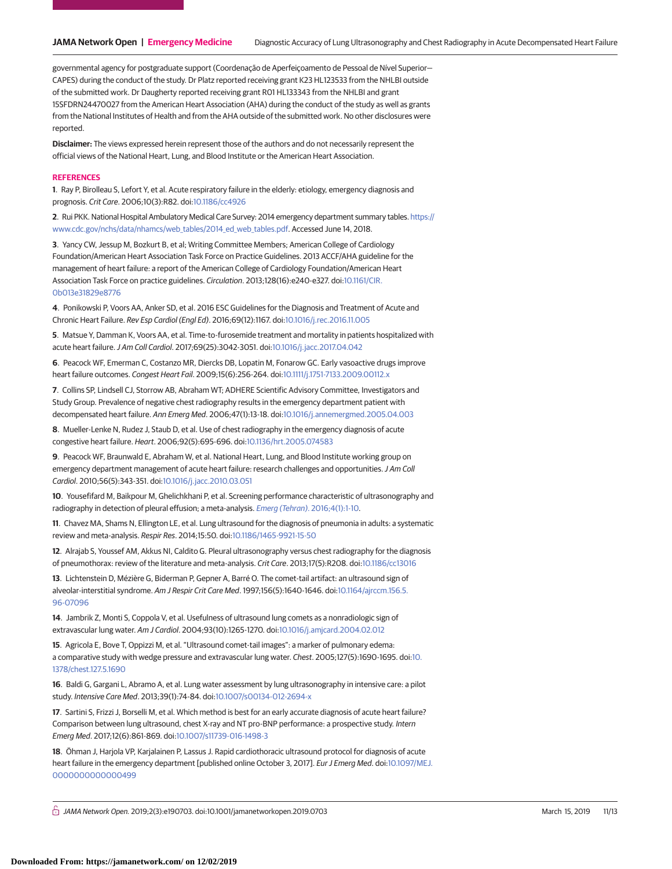governmental agency for postgraduate support (Coordenação de Aperfeiçoamento de Pessoal de Nível Superior— CAPES) during the conduct of the study. Dr Platz reported receiving grant K23 HL123533 from the NHLBI outside of the submitted work. Dr Daugherty reported receiving grant R01 HL133343 from the NHLBI and grant 15SFDRN24470027 from the American Heart Association (AHA) during the conduct of the study as well as grants from the National Institutes of Health and from the AHA outside of the submitted work. No other disclosures were reported.

**Disclaimer:** The views expressed herein represent those of the authors and do not necessarily represent the official views of the National Heart, Lung, and Blood Institute or the American Heart Association.

#### **REFERENCES**

**1**. Ray P, Birolleau S, Lefort Y, et al. Acute respiratory failure in the elderly: etiology, emergency diagnosis and prognosis. Crit Care. 2006;10(3):R82. doi[:10.1186/cc4926](https://dx.doi.org/10.1186/cc4926)

**2**. Rui PKK. National Hospital Ambulatory Medical Care Survey: 2014 emergency department summary tables. [https://](https://www.cdc.gov/nchs/data/nhamcs/web_tables/2014_ed_web_tables.pdf) [www.cdc.gov/nchs/data/nhamcs/web\\_tables/2014\\_ed\\_web\\_tables.pdf.](https://www.cdc.gov/nchs/data/nhamcs/web_tables/2014_ed_web_tables.pdf) Accessed June 14, 2018.

**3**. Yancy CW, Jessup M, Bozkurt B, et al; Writing Committee Members; American College of Cardiology Foundation/American Heart Association Task Force on Practice Guidelines. 2013 ACCF/AHA guideline for the management of heart failure: a report of the American College of Cardiology Foundation/American Heart Association Task Force on practice guidelines. Circulation. 2013;128(16):e240-e327. doi[:10.1161/CIR.](https://dx.doi.org/10.1161/CIR.0b013e31829e8776) [0b013e31829e8776](https://dx.doi.org/10.1161/CIR.0b013e31829e8776)

**4**. Ponikowski P, Voors AA, Anker SD, et al. 2016 ESC Guidelines for the Diagnosis and Treatment of Acute and Chronic Heart Failure. Rev Esp Cardiol (Engl Ed). 2016;69(12):1167. doi[:10.1016/j.rec.2016.11.005](https://dx.doi.org/10.1016/j.rec.2016.11.005)

**5**. Matsue Y, Damman K, Voors AA, et al. Time-to-furosemide treatment and mortality in patients hospitalized with acute heart failure.J Am Coll Cardiol. 2017;69(25):3042-3051. doi[:10.1016/j.jacc.2017.04.042](https://dx.doi.org/10.1016/j.jacc.2017.04.042)

**6**. Peacock WF, Emerman C, Costanzo MR, Diercks DB, Lopatin M, Fonarow GC. Early vasoactive drugs improve heart failure outcomes. Congest Heart Fail. 2009;15(6):256-264. doi[:10.1111/j.1751-7133.2009.00112.x](https://dx.doi.org/10.1111/j.1751-7133.2009.00112.x)

**7**. Collins SP, Lindsell CJ, Storrow AB, Abraham WT; ADHERE Scientific Advisory Committee, Investigators and Study Group. Prevalence of negative chest radiography results in the emergency department patient with decompensated heart failure. Ann Emerg Med. 2006;47(1):13-18. doi[:10.1016/j.annemergmed.2005.04.003](https://dx.doi.org/10.1016/j.annemergmed.2005.04.003)

**8**. Mueller-Lenke N, Rudez J, Staub D, et al. Use of chest radiography in the emergency diagnosis of acute congestive heart failure. Heart. 2006;92(5):695-696. doi[:10.1136/hrt.2005.074583](https://dx.doi.org/10.1136/hrt.2005.074583)

**9**. Peacock WF, Braunwald E, Abraham W, et al. National Heart, Lung, and Blood Institute working group on emergency department management of acute heart failure: research challenges and opportunities.J Am Coll Cardiol. 2010;56(5):343-351. doi[:10.1016/j.jacc.2010.03.051](https://dx.doi.org/10.1016/j.jacc.2010.03.051)

**10**. Yousefifard M, Baikpour M, Ghelichkhani P, et al. Screening performance characteristic of ultrasonography and radiography in detection of pleural effusion; a meta-analysis. Emerg (Tehran)[. 2016;4\(1\):1-10.](https://www.ncbi.nlm.nih.gov/pubmed/26862542)

**11**. Chavez MA, Shams N, Ellington LE, et al. Lung ultrasound for the diagnosis of pneumonia in adults: a systematic review and meta-analysis. Respir Res. 2014;15:50. doi[:10.1186/1465-9921-15-50](https://dx.doi.org/10.1186/1465-9921-15-50)

**12**. Alrajab S, Youssef AM, Akkus NI, Caldito G. Pleural ultrasonography versus chest radiography for the diagnosis of pneumothorax: review of the literature and meta-analysis. Crit Care. 2013;17(5):R208. doi[:10.1186/cc13016](https://dx.doi.org/10.1186/cc13016)

**13**. Lichtenstein D, Mézière G, Biderman P, Gepner A, Barré O. The comet-tail artifact: an ultrasound sign of alveolar-interstitial syndrome. Am J Respir Crit Care Med. 1997;156(5):1640-1646. doi[:10.1164/ajrccm.156.5.](https://dx.doi.org/10.1164/ajrccm.156.5.96-07096) [96-07096](https://dx.doi.org/10.1164/ajrccm.156.5.96-07096)

**14**. Jambrik Z, Monti S, Coppola V, et al. Usefulness of ultrasound lung comets as a nonradiologic sign of extravascular lung water. Am J Cardiol. 2004;93(10):1265-1270. doi[:10.1016/j.amjcard.2004.02.012](https://dx.doi.org/10.1016/j.amjcard.2004.02.012)

**15**. Agricola E, Bove T, Oppizzi M, et al. "Ultrasound comet-tail images": a marker of pulmonary edema: a comparative study with wedge pressure and extravascular lung water. Chest. 2005;127(5):1690-1695. doi[:10.](https://dx.doi.org/10.1378/chest.127.5.1690) [1378/chest.127.5.1690](https://dx.doi.org/10.1378/chest.127.5.1690)

**16**. Baldi G, Gargani L, Abramo A, et al. Lung water assessment by lung ultrasonography in intensive care: a pilot study. Intensive Care Med. 2013;39(1):74-84. doi[:10.1007/s00134-012-2694-x](https://dx.doi.org/10.1007/s00134-012-2694-x)

**17**. Sartini S, Frizzi J, Borselli M, et al. Which method is best for an early accurate diagnosis of acute heart failure? Comparison between lung ultrasound, chest X-ray and NT pro-BNP performance: a prospective study. Intern Emerg Med. 2017;12(6):861-869. doi[:10.1007/s11739-016-1498-3](https://dx.doi.org/10.1007/s11739-016-1498-3)

**18**. Öhman J, Harjola VP, Karjalainen P, Lassus J. Rapid cardiothoracic ultrasound protocol for diagnosis of acute heart failure in the emergency department [published online October 3, 2017]. Eur J Emerg Med. doi[:10.1097/MEJ.](https://dx.doi.org/10.1097/MEJ.0000000000000499) [0000000000000499](https://dx.doi.org/10.1097/MEJ.0000000000000499)

 $\stackrel{\frown}{\Box}$  JAMA Network Open. 2019;2(3):e190703. doi:10.1001/jamanetworkopen.2019.0703 (Reprinted) March 15, 2019 11/13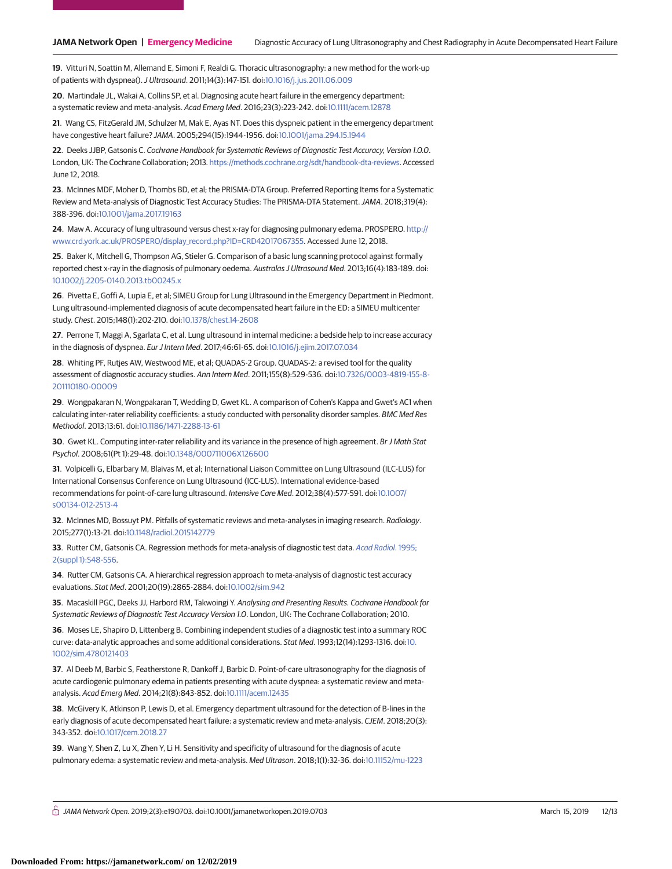**19**. Vitturi N, Soattin M, Allemand E, Simoni F, Realdi G. Thoracic ultrasonography: a new method for the work-up of patients with dyspnea().J Ultrasound. 2011;14(3):147-151. doi[:10.1016/j.jus.2011.06.009](https://dx.doi.org/10.1016/j.jus.2011.06.009)

**20**. Martindale JL, Wakai A, Collins SP, et al. Diagnosing acute heart failure in the emergency department: a systematic review and meta-analysis. Acad Emerg Med. 2016;23(3):223-242. doi[:10.1111/acem.12878](https://dx.doi.org/10.1111/acem.12878)

**21**. Wang CS, FitzGerald JM, Schulzer M, Mak E, Ayas NT. Does this dyspneic patient in the emergency department have congestive heart failure? JAMA. 2005;294(15):1944-1956. doi[:10.1001/jama.294.15.1944](https://jama.jamanetwork.com/article.aspx?doi=10.1001/jama.294.15.1944&utm_campaign=articlePDF%26utm_medium=articlePDFlink%26utm_source=articlePDF%26utm_content=jamanetworkopen.2019.0703)

**22**. Deeks JJBP, Gatsonis C. Cochrane Handbook for Systematic Reviews of Diagnostic Test Accuracy, Version 1.0.0. London, UK: The Cochrane Collaboration; 2013. [https://methods.cochrane.org/sdt/handbook-dta-reviews.](https://methods.cochrane.org/sdt/handbook-dta-reviews) Accessed June 12, 2018.

**23**. McInnes MDF, Moher D, Thombs BD, et al; the PRISMA-DTA Group. Preferred Reporting Items for a Systematic Review and Meta-analysis of Diagnostic Test Accuracy Studies: The PRISMA-DTA Statement.JAMA. 2018;319(4): 388-396. doi[:10.1001/jama.2017.19163](https://jama.jamanetwork.com/article.aspx?doi=10.1001/jama.2017.19163&utm_campaign=articlePDF%26utm_medium=articlePDFlink%26utm_source=articlePDF%26utm_content=jamanetworkopen.2019.0703)

**24**. Maw A. Accuracy of lung ultrasound versus chest x-ray for diagnosing pulmonary edema. PROSPERO. [http://](http://www.crd.york.ac.uk/PROSPERO/display_record.php?ID=CRD42017067355) [www.crd.york.ac.uk/PROSPERO/display\\_record.php?ID=CRD42017067355.](http://www.crd.york.ac.uk/PROSPERO/display_record.php?ID=CRD42017067355) Accessed June 12, 2018.

**25**. Baker K, Mitchell G, Thompson AG, Stieler G. Comparison of a basic lung scanning protocol against formally reported chest x-ray in the diagnosis of pulmonary oedema. Australas J Ultrasound Med. 2013;16(4):183-189. doi: [10.1002/j.2205-0140.2013.tb00245.x](https://dx.doi.org/10.1002/j.2205-0140.2013.tb00245.x)

**26**. Pivetta E, Goffi A, Lupia E, et al; SIMEU Group for Lung Ultrasound in the Emergency Department in Piedmont. Lung ultrasound-implemented diagnosis of acute decompensated heart failure in the ED: a SIMEU multicenter study. Chest. 2015;148(1):202-210. doi[:10.1378/chest.14-2608](https://dx.doi.org/10.1378/chest.14-2608)

**27**. Perrone T, Maggi A, Sgarlata C, et al. Lung ultrasound in internal medicine: a bedside help to increase accuracy in the diagnosis of dyspnea. Eur J Intern Med. 2017;46:61-65. doi[:10.1016/j.ejim.2017.07.034](https://dx.doi.org/10.1016/j.ejim.2017.07.034)

**28**. Whiting PF, Rutjes AW, Westwood ME, et al; QUADAS-2 Group. QUADAS-2: a revised tool for the quality assessment of diagnostic accuracy studies. Ann Intern Med. 2011;155(8):529-536. doi[:10.7326/0003-4819-155-8-](https://dx.doi.org/10.7326/0003-4819-155-8-201110180-00009) [201110180-00009](https://dx.doi.org/10.7326/0003-4819-155-8-201110180-00009)

**29**. Wongpakaran N, Wongpakaran T, Wedding D, Gwet KL. A comparison of Cohen's Kappa and Gwet's AC1 when calculating inter-rater reliability coefficients: a study conducted with personality disorder samples. BMC Med Res Methodol. 2013;13:61. doi[:10.1186/1471-2288-13-61](https://dx.doi.org/10.1186/1471-2288-13-61)

**30**. Gwet KL. Computing inter-rater reliability and its variance in the presence of high agreement. Br J Math Stat Psychol. 2008;61(Pt 1):29-48. doi[:10.1348/000711006X126600](https://dx.doi.org/10.1348/000711006X126600)

**31**. Volpicelli G, Elbarbary M, Blaivas M, et al; International Liaison Committee on Lung Ultrasound (ILC-LUS) for International Consensus Conference on Lung Ultrasound (ICC-LUS). International evidence-based recommendations for point-of-care lung ultrasound. Intensive Care Med. 2012;38(4):577-591. doi[:10.1007/](https://dx.doi.org/10.1007/s00134-012-2513-4) [s00134-012-2513-4](https://dx.doi.org/10.1007/s00134-012-2513-4)

**32**. McInnes MD, Bossuyt PM. Pitfalls of systematic reviews and meta-analyses in imaging research. Radiology. 2015;277(1):13-21. doi[:10.1148/radiol.2015142779](https://dx.doi.org/10.1148/radiol.2015142779)

**33**. Rutter CM, Gatsonis CA. Regression methods for meta-analysis of diagnostic test data. [Acad Radiol](https://www.ncbi.nlm.nih.gov/pubmed/9419705). 1995; [2\(suppl 1\):S48-S56.](https://www.ncbi.nlm.nih.gov/pubmed/9419705)

**34**. Rutter CM, Gatsonis CA. A hierarchical regression approach to meta-analysis of diagnostic test accuracy evaluations. Stat Med. 2001;20(19):2865-2884. doi[:10.1002/sim.942](https://dx.doi.org/10.1002/sim.942)

**35**. Macaskill PGC, Deeks JJ, Harbord RM, Takwoingi Y. Analysing and Presenting Results. Cochrane Handbook for Systematic Reviews of Diagnostic Test Accuracy Version 1.0. London, UK: The Cochrane Collaboration; 2010.

**36**. Moses LE, Shapiro D, Littenberg B. Combining independent studies of a diagnostic test into a summary ROC curve: data-analytic approaches and some additional considerations. Stat Med. 1993;12(14):1293-1316. doi[:10.](https://dx.doi.org/10.1002/sim.4780121403) [1002/sim.4780121403](https://dx.doi.org/10.1002/sim.4780121403)

**37**. Al Deeb M, Barbic S, Featherstone R, Dankoff J, Barbic D. Point-of-care ultrasonography for the diagnosis of acute cardiogenic pulmonary edema in patients presenting with acute dyspnea: a systematic review and metaanalysis. Acad Emerg Med. 2014;21(8):843-852. doi[:10.1111/acem.12435](https://dx.doi.org/10.1111/acem.12435)

**38**. McGivery K, Atkinson P, Lewis D, et al. Emergency department ultrasound for the detection of B-lines in the early diagnosis of acute decompensated heart failure: a systematic review and meta-analysis. CJEM. 2018;20(3): 343-352. doi[:10.1017/cem.2018.27](https://dx.doi.org/10.1017/cem.2018.27)

**39**. Wang Y, Shen Z, Lu X, Zhen Y, Li H. Sensitivity and specificity of ultrasound for the diagnosis of acute pulmonary edema: a systematic review and meta-analysis. Med Ultrason. 2018;1(1):32-36. doi[:10.11152/mu-1223](https://dx.doi.org/10.11152/mu-1223)

 $\stackrel{\frown}{\Box}$  JAMA Network Open. 2019;2(3):e190703. doi:10.1001/jamanetworkopen.2019.0703 (Reprinted) March 15, 2019 12/13